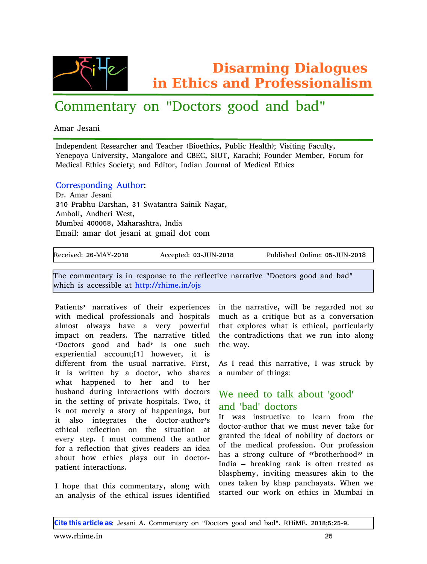Glvdup Iqj Gldaj xhv lq Hwk If v dqg Sur i hvvlr qdd vp

## $Y..f f {, \n}$   $\hat{\mathbb{S}}\hat{\mathbb{W}}$ • …, 'Z..y $\hat{\mathbb{S}}$ .^% $\partial_{\Omega}$ ....z w, z xwz'

Wf  $w^{\dagger}$  {%w. •

\_\_,z{†{,,z{,,Šh{%{w^y~{^ w,z j {wy~{^ /X•..{Š•y%5f‹x,•y ^{wŠ~0Ol •%ڤ,} \wy^.Š5 o{" { †…• w k " •Œ{ˆ‰•Š• 5 c w" } w'…ˆ{ w" z YX[ Y5 i \_k j 5 awˆwy~•O\ …‹ " z{ˆ c { ƒ x{ˆ5 \ …ˆ‹ ƒ |…ˆ  $c$  {z•yw | Š•y‰i ..y•{ŠOw, z | z•Š.^5 \_, z•w, `..<^,, w, ..| c {z•yw, | Š•y‰

 $Y...^{\circ}$ {% $\phi_{0...}$ , z•, } W $\mathcal{S}...^{\circ}N$  $Z^{\hat{}}$ 7 Wf w $\hat{ }$  {%w, • @ c: f^wx~ ‹ Zŵ‱w, 5 @ c i • wŠw, Šw i w•, •• d w} ŵ5  $Wf$  x…,•5 W, z~{^• m{% $\delta$ 5  $c \cdot f$  xw•  $B:$ :  $DJ5c$  w  $w$  w‰Šw $5 \underline{m}$  , z•w  $\int f$  w•, Nwf ŵ z…Š $\bigoplus_{i=1}^{\infty}$   $\mathbb{E}(\mathscr{E})$  we z…Šy…f

 $|h\{y\}$ •QEzN>F6cWo6>:<J Wyy{†Š{zN:@6`kd6b:<J f‹x,•‰{ze,,.•,,{N:D6`kd6b:<J

j ~{ y..ƒƒ{"Šŵ• •‰•,, ^{%p.."‰Š..Š~{ ^{|,{yŠQĘ "w^`wŠQĘ 'Z..yŠ.^‰}....z w,z xwz' • ~•y~ •‰wyy{%‰x,{ wŠ~<del>ŠŠ†N88</del>^~•f{7<sub>°</sub>,8…‰

f w��{"��i" "w^^w�QE‰..|. ら{•^ {݆{^•{"y{‰•" ら{ "w^^w�QE5••, x{ ^{}w^z{z "..S‰. ••Š~ ƒ{z•yw, †^…!{%‰…,w‰w,z ~…‰†•Šw‰ ƒ‹y~w‰w y^•Ї‹{ x‹Św‰w y…,QE^‰6.…, w,ƒ…‰Š w,∙w•‰∼wQĘ w QĘ^∙ †…•{^|⊂, •ƒ†wyŚ." ^{wz{^%7 j~{ "w^^w**9O**Ę 9ô\${z ¦Z..yŠ.^‰ } ….z w, z xwz¨ •‰ ..,, { %∘y~ Š-{ • w•7  $\{\tilde{Z} \mid \tilde{C} \cdot \tilde{S} \mid W, W \cup W \cdot \tilde{S} \mid W, S \mid \tilde{C} \mid S \mid \tilde{C} \in \tilde{S} \}$  •Š •‰ z•||{^{"Ś|^…ƒ Š~{ ‹‱w, "w^^w�Œ{7\•^%\$5 W‰\_^{wz Ś~‰"w^^w�Œ{5\_•w‰%S^‹y• x• •Š •‰•^•ŠŠ{" x• w z..yŠ.^5 •~... ‰w^{‰ w"‹ƒx{^ ..| Š•"}%N • ~wŠ ~w††{"{z Š.. ~{^ w,z Š.. ~{^ ~^%w,z z^\*,} •,\$^w9."‰• •Š z.yŠ.^% m{ ,,{{z Š.Šv• wx..<Š.}....z. •, Š~{%{oŠŠ+,,}…| †^•ŒkŘ{~…‰†•Šw,%76 j•…5 •Š •‰" …Š ƒ { ˆ{ '• w ‰Š…ˆ• …| ~w††{ " •" } ‰5 x‹ Š •Š w‱. •"Š{`wЉ Š{ z..yŠ.^6w Š~…^¨‰ { Š~•yw' ˆ{ |'{ yŠ•…" …" Š~{ ‰•Š‹ wŠ•…" wŠ  ${CCF^- \bullet \cong \check{A} \dagger 7}_1' - f { \circ \check{\bullet} \circ y \cdot f \dagger }$ , z Š{ w Š... |…ˆ w ˆ{ |'{ yŠ•…" Š~wŠ } •Œ{ ‰ˆ{ wz{ ˆ‰w" •z{ w wx…< Š ~**…•** { Еy‰ †, w• ‰ …< Š •, z…yŠ…̂6  $\dagger$ w $\dot{S}$ {,, Š•,, Š $\dot{S}$  $\dot{S}$  $\dot{S}$  $\dot{S}$  $\dot{S}$ 

 $_$   $\sim$ …†{ S~wS S~‰y… $f f$  { , Sw^•5 w, ..,, } • •S~ w, w, w,• ‰…| Š{{Š•yw, •‰(‰•z{,, Š|•{z Š~wŠ { ݆, ..^{‰• ~wŠ •‰{ Š~•yw,5 †ŵ Šy‹ ,ŵ,• Š~{ y…, Šwz∙y9.…, ‰Š~wŠ • { ^‹,, •,, Š… w,…,, }

### $W, Z$   $XWZ, Z. Y\ddot{S}.$   $\%$  $\delta$  • w‰ •  $\gg$   $\delta$  ·  $y\rightarrow \infty$   $\delta$ . . .  $\{w, \mid f \in \delta\}$

z..yŠ.^6w Š..^. Š~wŠ• {  $f \in \mathcal{S}_m$  {  $Q \in \mathcal{E}^*$  Šw {  $|\dots \}$ }^w, Š{z Š~{ •z{w, …| " …x•,•Š• …| z…yŠ…‰…^ …|  $S\{f\{z\cdot yw, \tau^*...\}$ {%‰…, 7 e  $\{f\}$  1^...|{%‰…,  $\sim$ W‰W ‰Š ..,, } y \delays \beed \cdot \cdot \cdot \frac{\beed}}\$ ^{ ...| a x^.. $\&$  { ^~.... z  $\sim$   $\bullet$ , \_,, z•w ¯ x^{\v••,, } ^\, • •‰...|Š{,, Š{\\Š{z \v‰  $x, w \in \{ f \cdot 5 \cdot \text{GCES}_{n} \}$   $f \{ w \in \{ \% \cdot \text{GPES}_{n} \} \}$ …, {%Šw• {,,  $x \cdot \cdot \cdot$  + w, y~w• wŠ% m~{,,  $\cdot \cdot$  {  $\%\delta V \leq Z \dots$   $\hat{ }$  •  $\hat{ }$   $\hat{ }$   $\ldots$   $\hat{ }$   $\ldots$   $\hat{ }$   $\in$   $\hat{ }$   $\leq$   $\hat{ }$   $\leq$   $\hat{ }$   $\leq$   $\hat{ }$   $\leq$   $\hat{ }$   $\leq$   $\hat{ }$   $\leq$   $\hat{ }$   $\leq$   $\hat{ }$   $\leq$   $\hat{ }$   $\leq$   $\hat{ }$   $\leq$   $\hat{ }$   $\leq$   $\hat{ }$   $\leq$ 

Djuf ui jt bsujdnfi bt N`{‰w", • W7Y..*f f* {"Šw^• ..,, 'Z..yŠ.^‰}.....z w,z xwz'7 h^ •c [7>:<J**OD\+D6L**7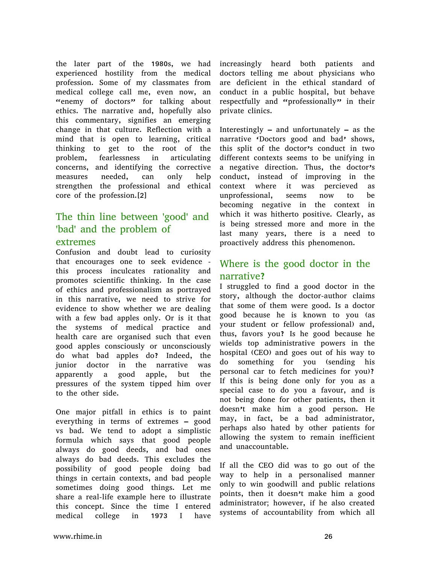the later part of the 1980s, we had experienced hostility from the medical profession. Some of my classmates from medical college call me, even now, an "enemy of doctors" for talking about ethics. The narrative and, hopefully also this commentary, signifies an emerging change in that culture. Reflection with a mind that is open to learning, critical thinking to get to the root of the problem, fearlessness in articulating concerns, and identifying the corrective measures needed, can only help strengthen the professional and ethical core of the profession.[2]

### The thin line between 'good' and 'bad' and the problem of

#### extremes

Confusion and doubt lead to curiosity that encourages one to seek evidence this process inculcates rationality and promotes scientific thinking. In the case of ethics and professionalism as portrayed in this narrative, we need to strive for evidence to show whether we are dealing with a few bad apples only. Or is it that the systems of medical practice and health care are organised such that even good apples consciously or unconsciously do what bad apples do? Indeed, the junior doctor in the narrative was apparently a good apple, but the pressures of the system tipped him over to the other side.

One major pitfall in ethics is to paint everything in terms of extremes – good vs bad. We tend to adopt a simplistic formula which says that good people always do good deeds, and bad ones always do bad deeds. This excludes the possibility of good people doing bad things in certain contexts, and bad people sometimes doing good things. Let me share a real-life example here to illustrate this concept. Since the time I entered medical college in 1973 I have

increasingly heard both patients and doctors telling me about physicians who are deficient in the ethical standard of conduct in a public hospital, but behave respectfully and "professionally" in their private clinics.

Interestingly – and unfortunately – as the narrative 'Doctors good and bad' shows, this split of the doctor's conduct in two different contexts seems to be unifying in a negative direction. Thus, the doctor's conduct, instead of improving in the context where it was percieved as unprofessional, seems now to be becoming negative in the context in which it was hitherto positive. Clearly, as is being stressed more and more in the last many years, there is a need to proactively address this phenomenon.

### Where is the good doctor in the narrative?

I struggled to find a good doctor in the story, although the doctor-author claims that some of them were good. Is a doctor good because he is known to you (as your student or fellow professional) and, thus, favors you? Is he good because he wields top administrative powers in the hospital (CEO) and goes out of his way to do something for you (sending his personal car to fetch medicines for you)? If this is being done only for you as a special case to do you a favour, and is not being done for other patients, then it doesn't make him a good person. He may, in fact, be a bad administrator, perhaps also hated by other patients for allowing the system to remain inefficient and unaccountable.

If all the CEO did was to go out of the way to help in a personalised manner only to win goodwill and public relations points, then it doesn't make him a good administrator; however, if he also created systems of accountability from which all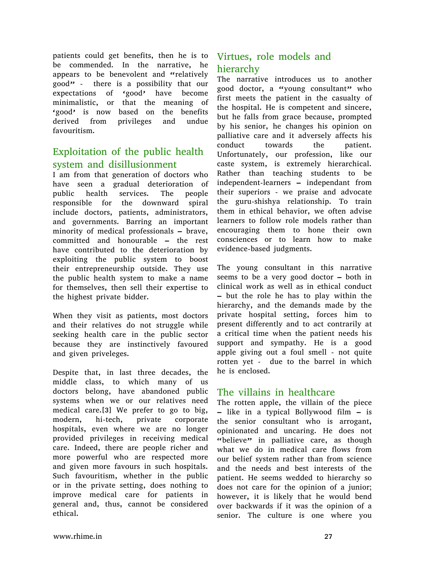patients could get benefits, then he is to be commended. In the narrative, he appears to be benevolent and "relatively good" - there is a possibility that our expectations of 'good' have become minimalistic, or that the meaning of 'good' is now based on the benefits derived from privileges and undue favouritism.

#### Exploitation of the public health system and disillusionment

I am from that generation of doctors who have seen a gradual deterioration of public health services. The people responsible for the downward spiral include doctors, patients, administrators, and governments. Barring an important minority of medical professionals – brave, committed and honourable – the rest have contributed to the deterioration by exploiting the public system to boost their entrepreneurship outside. They use the public health system to make a name for themselves, then sell their expertise to the highest private bidder.

When they visit as patients, most doctors and their relatives do not struggle while seeking health care in the public sector because they are instinctively favoured and given priveleges.

Despite that, in last three decades, the middle class, to which many of us doctors belong, have abandoned public systems when we or our relatives need medical care.[3] We prefer to go to big, modern, hi-tech, private corporate hospitals, even where we are no longer provided privileges in receiving medical care. Indeed, there are people richer and more powerful who are respected more and given more favours in such hospitals. Such favouritism, whether in the public or in the private setting, does nothing to improve medical care for patients in general and, thus, cannot be considered ethical.

#### Virtues, role models and hierarchy

The narrative introduces us to another good doctor, a "young consultant" who first meets the patient in the casualty of the hospital. He is competent and sincere, but he falls from grace because, prompted by his senior, he changes his opinion on palliative care and it adversely affects his conduct towards the patient. Unfortunately, our profession, like our caste system, is extremely hierarchical. Rather than teaching students to be independent-learners – independant from their superiors - we praise and advocate the guru-shishya relationship. To train them in ethical behavior, we often advise learners to follow role models rather than encouraging them to hone their own consciences or to learn how to make evidence-based judgments.

The young consultant in this narrative seems to be a very good doctor – both in clinical work as well as in ethical conduct – but the role he has to play within the hierarchy, and the demands made by the private hospital setting, forces him to present differently and to act contrarily at a critical time when the patient needs his support and sympathy. He is a good apple giving out a foul smell - not quite rotten yet - due to the barrel in which he is enclosed.

#### The villains in healthcare

The rotten apple, the villain of the piece – like in a typical Bollywood film – is the senior consultant who is arrogant, opinionated and uncaring. He does not "believe" in palliative care, as though what we do in medical care flows from our belief system rather than from science and the needs and best interests of the patient. He seems wedded to hierarchy so does not care for the opinion of a junior; however, it is likely that he would bend over backwards if it was the opinion of a senior. The culture is one where you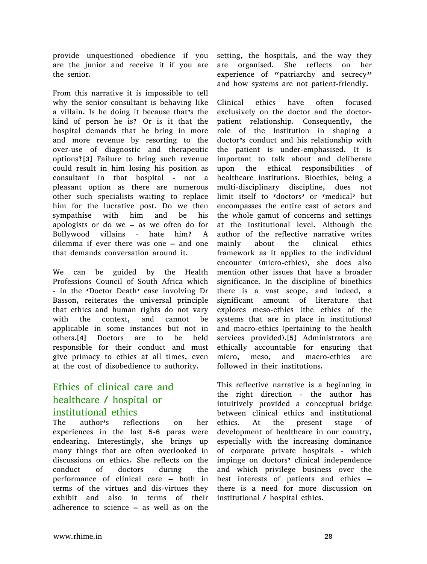provide unquestioned obedience if you are the junior and receive it if you are the senior.

From this narrative it is impossible to tell why the senior consultant is behaving like a villain. Is he doing it because that's the kind of person he is? Or is it that the hospital demands that he bring in more and more revenue by resorting to the over-use of diagnostic and therapeutic options?[3] Failure to bring such revenue could result in him losing his position as consultant in that hospital - not a pleasant option as there are numerous other such specialists waiting to replace him for the lucrative post. Do we then sympathise with him and be his apologists or do we – as we often do for Bollywood villains - hate him? A dilemma if ever there was one – and one that demands conversation around it.

We can be guided by the Health Professions Council of South Africa which - in the 'Doctor Death' case involving Dr Basson, reiterates the universal principle that ethics and human rights do not vary with the context, and cannot be applicable in some instances but not in others.[4] Doctors are to be held responsible for their conduct and must give primacy to ethics at all times, even at the cost of disobedience to authority.

#### Ethics of clinical care and healthcare / hospital or institutional ethics

The author's reflections on her experiences in the last 5-6 paras were endearing. Interestingly, she brings up many things that are often overlooked in discussions on ethics. She reflects on the conduct of doctors during the performance of clinical care – both in terms of the virtues and dis-virtues they exhibit and also in terms of their adherence to science – as well as on the

setting, the hospitals, and the way they are organised. She reflects on her experience of "patriarchy and secrecy" and how systems are not patient-friendly.

Clinical ethics have often focused exclusively on the doctor and the doctorpatient relationship. Consequently, the role of the institution in shaping a doctor's conduct and his relationship with the patient is under-emphasised. It is important to talk about and deliberate upon the ethical responsibilities of healthcare institutions. Bioethics, being a multi-disciplinary discipline, does not limit itself to 'doctors' or 'medical' but encompasses the entire cast of actors and the whole gamut of concerns and settings at the institutional level. Although the author of the reflective narrative writes mainly about the clinical ethics framework as it applies to the individual encounter (micro-ethics), she does also mention other issues that have a broader significance. In the discipline of bioethics there is a vast scope, and indeed, a significant amount of literature that explores meso-ethics (the ethics of the systems that are in place in institutions) and macro-ethics (pertaining to the health services provided).[5] Administrators are ethically accountable for ensuring that micro, meso, and macro-ethics are followed in their institutions.

This reflective narrative is a beginning in the right direction - the author has intuitively provided a conceptual bridge between clinical ethics and institutional ethics. At the present stage of development of healthcare in our country, especially with the increasing dominance of corporate private hospitals - which impinge on doctors' clinical independence and which privilege business over the best interests of patients and ethics – there is a need for more discussion on institutional / hospital ethics.